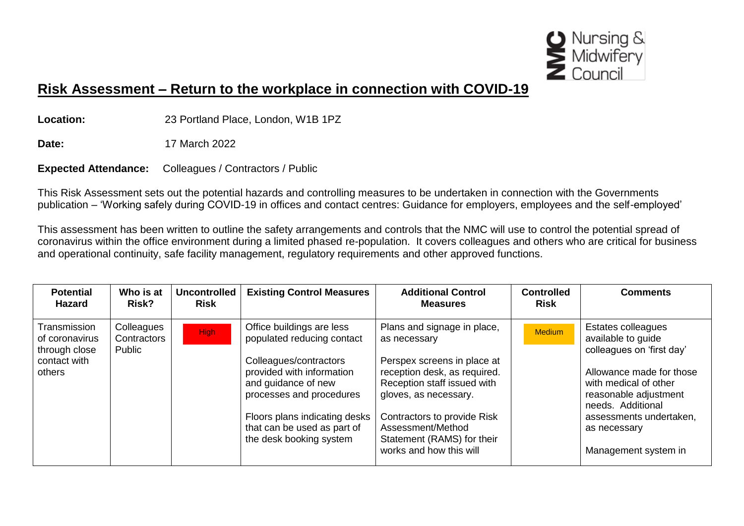

## **Risk Assessment – Return to the workplace in connection with COVID-19**

**Location:** 23 Portland Place, London, W1B 1PZ

**Date:** 17 March 2022

**Expected Attendance:** Colleagues / Contractors / Public

This Risk Assessment sets out the potential hazards and controlling measures to be undertaken in connection with the Governments publication – 'Working safely during COVID-19 in offices and contact centres: Guidance for employers, employees and the self-employed'

This assessment has been written to outline the safety arrangements and controls that the NMC will use to control the potential spread of coronavirus within the office environment during a limited phased re-population. It covers colleagues and others who are critical for business and operational continuity, safe facility management, regulatory requirements and other approved functions.

| <b>Potential</b><br><b>Hazard</b>                                         | Who is at<br>Risk?                  | <b>Uncontrolled</b><br><b>Risk</b> | <b>Existing Control Measures</b>                                                                                                                                                                                                                             | <b>Additional Control</b><br><b>Measures</b>                                                                                                                                                                                                                                    | <b>Controlled</b><br><b>Risk</b> | <b>Comments</b>                                                                                                                                                                                                                             |
|---------------------------------------------------------------------------|-------------------------------------|------------------------------------|--------------------------------------------------------------------------------------------------------------------------------------------------------------------------------------------------------------------------------------------------------------|---------------------------------------------------------------------------------------------------------------------------------------------------------------------------------------------------------------------------------------------------------------------------------|----------------------------------|---------------------------------------------------------------------------------------------------------------------------------------------------------------------------------------------------------------------------------------------|
| Transmission<br>of coronavirus<br>through close<br>contact with<br>others | Colleagues<br>Contractors<br>Public | <b>High</b>                        | Office buildings are less<br>populated reducing contact<br>Colleagues/contractors<br>provided with information<br>and guidance of new<br>processes and procedures<br>Floors plans indicating desks<br>that can be used as part of<br>the desk booking system | Plans and signage in place,<br>as necessary<br>Perspex screens in place at<br>reception desk, as required.<br>Reception staff issued with<br>gloves, as necessary.<br>Contractors to provide Risk<br>Assessment/Method<br>Statement (RAMS) for their<br>works and how this will | Medium                           | Estates colleagues<br>available to guide<br>colleagues on 'first day'<br>Allowance made for those<br>with medical of other<br>reasonable adjustment<br>needs. Additional<br>assessments undertaken,<br>as necessary<br>Management system in |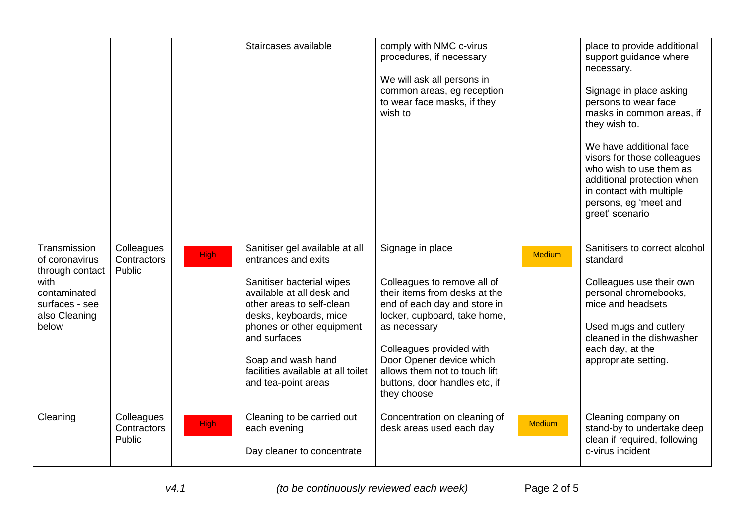|                                                                                                                       |                                     |             | Staircases available                                                                                                                                                                                                                                                                                   | comply with NMC c-virus<br>procedures, if necessary<br>We will ask all persons in<br>common areas, eg reception<br>to wear face masks, if they<br>wish to                                                                                                                                                 |               | place to provide additional<br>support guidance where<br>necessary.<br>Signage in place asking<br>persons to wear face<br>masks in common areas, if<br>they wish to.<br>We have additional face<br>visors for those colleagues<br>who wish to use them as<br>additional protection when<br>in contact with multiple<br>persons, eg 'meet and<br>greet' scenario |
|-----------------------------------------------------------------------------------------------------------------------|-------------------------------------|-------------|--------------------------------------------------------------------------------------------------------------------------------------------------------------------------------------------------------------------------------------------------------------------------------------------------------|-----------------------------------------------------------------------------------------------------------------------------------------------------------------------------------------------------------------------------------------------------------------------------------------------------------|---------------|-----------------------------------------------------------------------------------------------------------------------------------------------------------------------------------------------------------------------------------------------------------------------------------------------------------------------------------------------------------------|
| Transmission<br>of coronavirus<br>through contact<br>with<br>contaminated<br>surfaces - see<br>also Cleaning<br>below | Colleagues<br>Contractors<br>Public | <b>High</b> | Sanitiser gel available at all<br>entrances and exits<br>Sanitiser bacterial wipes<br>available at all desk and<br>other areas to self-clean<br>desks, keyboards, mice<br>phones or other equipment<br>and surfaces<br>Soap and wash hand<br>facilities available at all toilet<br>and tea-point areas | Signage in place<br>Colleagues to remove all of<br>their items from desks at the<br>end of each day and store in<br>locker, cupboard, take home,<br>as necessary<br>Colleagues provided with<br>Door Opener device which<br>allows them not to touch lift<br>buttons, door handles etc, if<br>they choose | <b>Medium</b> | Sanitisers to correct alcohol<br>standard<br>Colleagues use their own<br>personal chromebooks,<br>mice and headsets<br>Used mugs and cutlery<br>cleaned in the dishwasher<br>each day, at the<br>appropriate setting.                                                                                                                                           |
| Cleaning                                                                                                              | Colleagues<br>Contractors<br>Public | <b>High</b> | Cleaning to be carried out<br>each evening<br>Day cleaner to concentrate                                                                                                                                                                                                                               | Concentration on cleaning of<br>desk areas used each day                                                                                                                                                                                                                                                  | <b>Medium</b> | Cleaning company on<br>stand-by to undertake deep<br>clean if required, following<br>c-virus incident                                                                                                                                                                                                                                                           |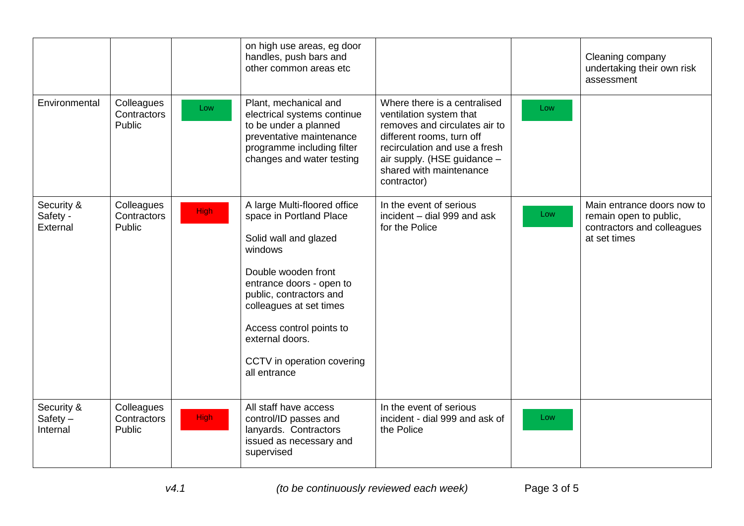|                                      |                                     |             | on high use areas, eg door<br>handles, push bars and<br>other common areas etc                                                                                                                                                                                                                    |                                                                                                                                                                                                                                 |     | Cleaning company<br>undertaking their own risk<br>assessment                                       |
|--------------------------------------|-------------------------------------|-------------|---------------------------------------------------------------------------------------------------------------------------------------------------------------------------------------------------------------------------------------------------------------------------------------------------|---------------------------------------------------------------------------------------------------------------------------------------------------------------------------------------------------------------------------------|-----|----------------------------------------------------------------------------------------------------|
| Environmental                        | Colleagues<br>Contractors<br>Public | Low         | Plant, mechanical and<br>electrical systems continue<br>to be under a planned<br>preventative maintenance<br>programme including filter<br>changes and water testing                                                                                                                              | Where there is a centralised<br>ventilation system that<br>removes and circulates air to<br>different rooms, turn off<br>recirculation and use a fresh<br>air supply. (HSE guidance -<br>shared with maintenance<br>contractor) | Low |                                                                                                    |
| Security &<br>Safety -<br>External   | Colleagues<br>Contractors<br>Public | High        | A large Multi-floored office<br>space in Portland Place<br>Solid wall and glazed<br>windows<br>Double wooden front<br>entrance doors - open to<br>public, contractors and<br>colleagues at set times<br>Access control points to<br>external doors.<br>CCTV in operation covering<br>all entrance | In the event of serious<br>incident - dial 999 and ask<br>for the Police                                                                                                                                                        | Low | Main entrance doors now to<br>remain open to public,<br>contractors and colleagues<br>at set times |
| Security &<br>$Safety -$<br>Internal | Colleagues<br>Contractors<br>Public | <b>High</b> | All staff have access<br>control/ID passes and<br>lanyards. Contractors<br>issued as necessary and<br>supervised                                                                                                                                                                                  | In the event of serious<br>incident - dial 999 and ask of<br>the Police                                                                                                                                                         | Low |                                                                                                    |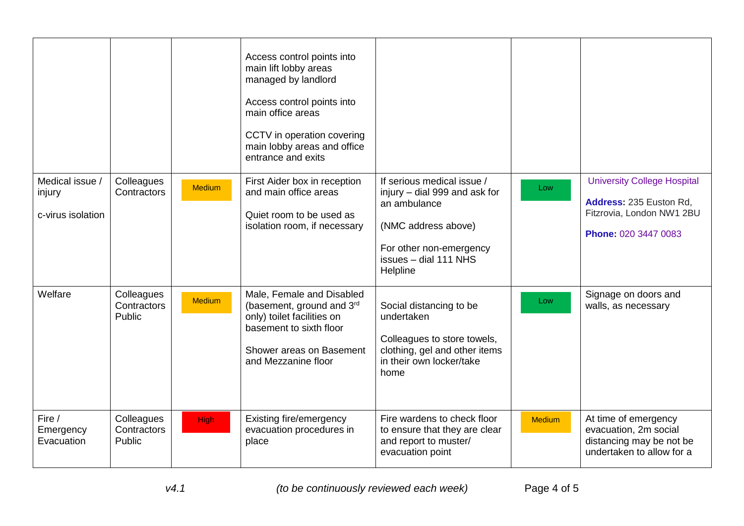|                                                |                                     |               | Access control points into<br>main lift lobby areas<br>managed by landlord<br>Access control points into<br>main office areas<br>CCTV in operation covering<br>main lobby areas and office<br>entrance and exits |                                                                                                                                                                    |               |                                                                                                                    |
|------------------------------------------------|-------------------------------------|---------------|------------------------------------------------------------------------------------------------------------------------------------------------------------------------------------------------------------------|--------------------------------------------------------------------------------------------------------------------------------------------------------------------|---------------|--------------------------------------------------------------------------------------------------------------------|
| Medical issue /<br>injury<br>c-virus isolation | Colleagues<br>Contractors           | <b>Medium</b> | First Aider box in reception<br>and main office areas<br>Quiet room to be used as<br>isolation room, if necessary                                                                                                | If serious medical issue /<br>injury - dial 999 and ask for<br>an ambulance<br>(NMC address above)<br>For other non-emergency<br>issues - dial 111 NHS<br>Helpline | Low           | <b>University College Hospital</b><br>Address: 235 Euston Rd,<br>Fitzrovia, London NW1 2BU<br>Phone: 020 3447 0083 |
| Welfare                                        | Colleagues<br>Contractors<br>Public | <b>Medium</b> | Male, Female and Disabled<br>(basement, ground and 3rd<br>only) toilet facilities on<br>basement to sixth floor<br>Shower areas on Basement<br>and Mezzanine floor                                               | Social distancing to be<br>undertaken<br>Colleagues to store towels,<br>clothing, gel and other items<br>in their own locker/take<br>home                          | Low           | Signage on doors and<br>walls, as necessary                                                                        |
| Fire /<br>Emergency<br>Evacuation              | Colleagues<br>Contractors<br>Public | <b>High</b>   | Existing fire/emergency<br>evacuation procedures in<br>place                                                                                                                                                     | Fire wardens to check floor<br>to ensure that they are clear<br>and report to muster/<br>evacuation point                                                          | <b>Medium</b> | At time of emergency<br>evacuation, 2m social<br>distancing may be not be<br>undertaken to allow for a             |